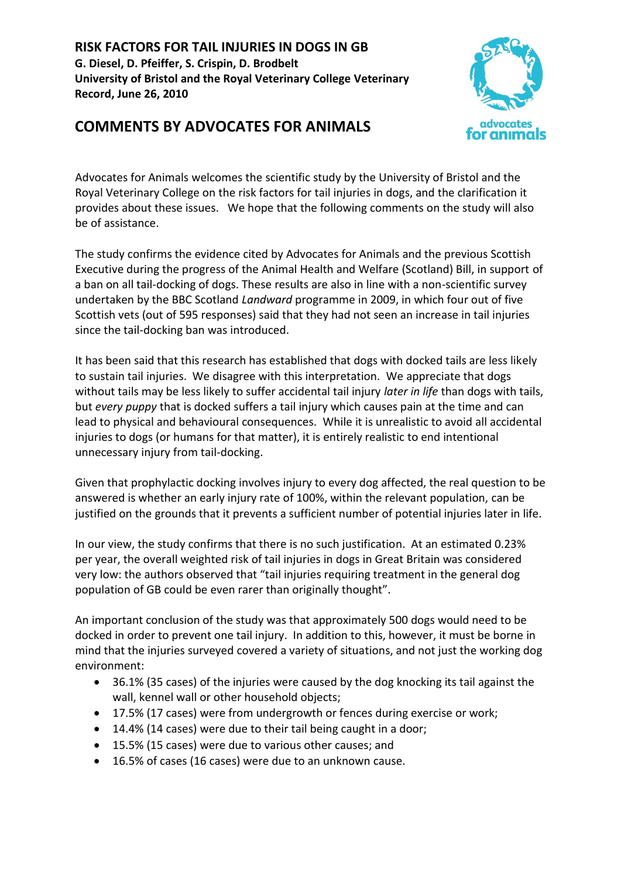**RISK FACTORS FOR TAIL INJURIES IN DOGS IN GB G. Diesel, D. Pfeiffer, S. Crispin, D. Brodbelt University of Bristol and the Royal Veterinary College Veterinary Record, June 26, 2010**





Advocates for Animals welcomes the scientific study by the University of Bristol and the Royal Veterinary College on the risk factors for tail injuries in dogs, and the clarification it provides about these issues. We hope that the following comments on the study will also be of assistance.

The study confirms the evidence cited by Advocates for Animals and the previous Scottish Executive during the progress of the Animal Health and Welfare (Scotland) Bill, in support of a ban on all tail-docking of dogs. These results are also in line with a non-scientific survey undertaken by the BBC Scotland *Landward* programme in 2009, in which four out of five Scottish vets (out of 595 responses) said that they had not seen an increase in tail injuries since the tail-docking ban was introduced.

It has been said that this research has established that dogs with docked tails are less likely to sustain tail injuries. We disagree with this interpretation. We appreciate that dogs without tails may be less likely to suffer accidental tail injury *later in life* than dogs with tails, but *every puppy* that is docked suffers a tail injury which causes pain at the time and can lead to physical and behavioural consequences. While it is unrealistic to avoid all accidental injuries to dogs (or humans for that matter), it is entirely realistic to end intentional unnecessary injury from tail-docking.

Given that prophylactic docking involves injury to every dog affected, the real question to be answered is whether an early injury rate of 100%, within the relevant population, can be justified on the grounds that it prevents a sufficient number of potential injuries later in life.

In our view, the study confirms that there is no such justification. At an estimated 0.23% per year, the overall weighted risk of tail injuries in dogs in Great Britain was considered very low: the authors observed that "tail injuries requiring treatment in the general dog population of GB could be even rarer than originally thought".

An important conclusion of the study was that approximately 500 dogs would need to be docked in order to prevent one tail injury. In addition to this, however, it must be borne in mind that the injuries surveyed covered a variety of situations, and not just the working dog environment:

- 36.1% (35 cases) of the injuries were caused by the dog knocking its tail against the wall, kennel wall or other household objects;
- 17.5% (17 cases) were from undergrowth or fences during exercise or work;
- 14.4% (14 cases) were due to their tail being caught in a door;
- 15.5% (15 cases) were due to various other causes; and
- 16.5% of cases (16 cases) were due to an unknown cause.